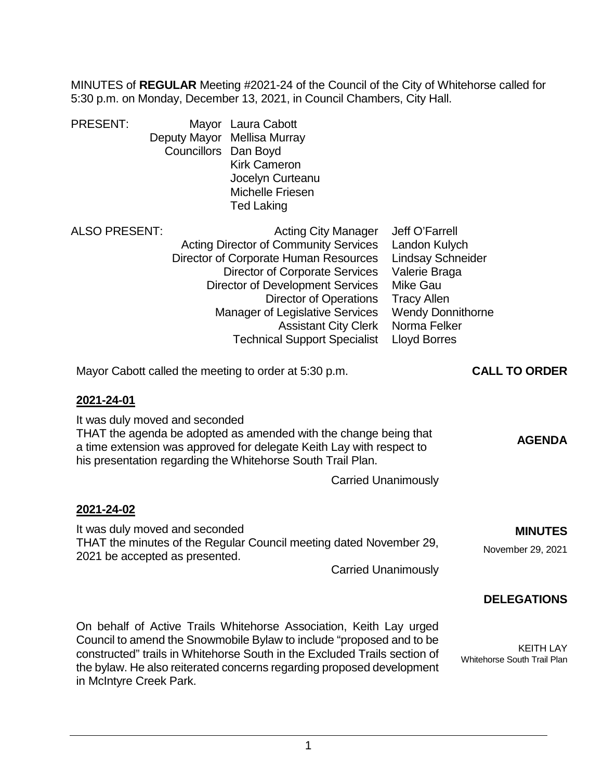MINUTES of **REGULAR** Meeting #2021-24 of the Council of the City of Whitehorse called for 5:30 p.m. on Monday, December 13, 2021, in Council Chambers, City Hall.

| <b>PRESENT:</b>                                                                                                                                                                                                                                                          | Councillors Dan Boyd                                             | Mayor Laura Cabott<br>Deputy Mayor Mellisa Murray<br><b>Kirk Cameron</b><br>Jocelyn Curteanu<br><b>Michelle Friesen</b><br><b>Ted Laking</b>                                                                                                                                                                                                             |                                                                                                                                                                                          |                                                 |
|--------------------------------------------------------------------------------------------------------------------------------------------------------------------------------------------------------------------------------------------------------------------------|------------------------------------------------------------------|----------------------------------------------------------------------------------------------------------------------------------------------------------------------------------------------------------------------------------------------------------------------------------------------------------------------------------------------------------|------------------------------------------------------------------------------------------------------------------------------------------------------------------------------------------|-------------------------------------------------|
| <b>ALSO PRESENT:</b>                                                                                                                                                                                                                                                     |                                                                  | <b>Acting City Manager</b><br><b>Acting Director of Community Services</b><br>Director of Corporate Human Resources<br><b>Director of Corporate Services</b><br><b>Director of Development Services</b><br><b>Director of Operations</b><br><b>Manager of Legislative Services</b><br><b>Assistant City Clerk</b><br><b>Technical Support Specialist</b> | Jeff O'Farrell<br>Landon Kulych<br><b>Lindsay Schneider</b><br>Valerie Braga<br><b>Mike Gau</b><br><b>Tracy Allen</b><br><b>Wendy Donnithorne</b><br>Norma Felker<br><b>Lloyd Borres</b> |                                                 |
|                                                                                                                                                                                                                                                                          |                                                                  | Mayor Cabott called the meeting to order at 5:30 p.m.                                                                                                                                                                                                                                                                                                    |                                                                                                                                                                                          | <b>CALL TO ORDER</b>                            |
| 2021-24-01<br>It was duly moved and seconded<br>THAT the agenda be adopted as amended with the change being that<br><b>AGENDA</b><br>a time extension was approved for delegate Keith Lay with respect to<br>his presentation regarding the Whitehorse South Trail Plan. |                                                                  |                                                                                                                                                                                                                                                                                                                                                          |                                                                                                                                                                                          |                                                 |
|                                                                                                                                                                                                                                                                          |                                                                  |                                                                                                                                                                                                                                                                                                                                                          | <b>Carried Unanimously</b>                                                                                                                                                               |                                                 |
| 2021-24-02                                                                                                                                                                                                                                                               | It was duly moved and seconded<br>2021 be accepted as presented. | THAT the minutes of the Regular Council meeting dated November 29,                                                                                                                                                                                                                                                                                       | <b>Carried Unanimously</b>                                                                                                                                                               | <b>MINUTES</b><br>November 29, 2021             |
|                                                                                                                                                                                                                                                                          |                                                                  |                                                                                                                                                                                                                                                                                                                                                          |                                                                                                                                                                                          | <b>DELEGATIONS</b>                              |
| in McIntyre Creek Park.                                                                                                                                                                                                                                                  |                                                                  | On behalf of Active Trails Whitehorse Association, Keith Lay urged<br>Council to amend the Snowmobile Bylaw to include "proposed and to be<br>constructed" trails in Whitehorse South in the Excluded Trails section of<br>the bylaw. He also reiterated concerns regarding proposed development                                                         |                                                                                                                                                                                          | <b>KEITH LAY</b><br>Whitehorse South Trail Plan |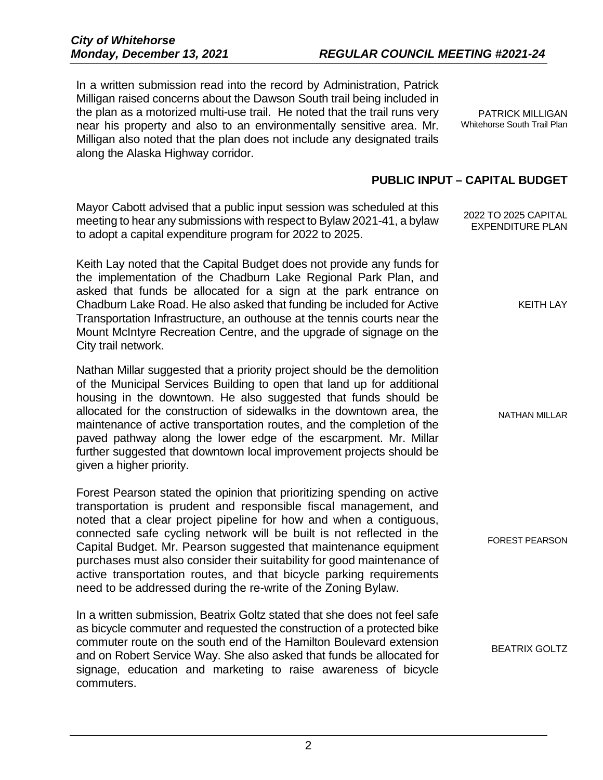In a written submission read into the record by Administration, Patrick Milligan raised concerns about the Dawson South trail being included in the plan as a motorized multi-use trail. He noted that the trail runs very near his property and also to an environmentally sensitive area. Mr. Milligan also noted that the plan does not include any designated trails along the Alaska Highway corridor.

PATRICK MILLIGAN Whitehorse South Trail Plan

## **PUBLIC INPUT – CAPITAL BUDGET**

| Mayor Cabott advised that a public input session was scheduled at this<br>meeting to hear any submissions with respect to Bylaw 2021-41, a bylaw<br>to adopt a capital expenditure program for 2022 to 2025.                                                                                                                                                                                                                                                                                                                                                                   | 2022 TO 2025 CAPITAL<br><b>EXPENDITURE PLAN</b> |
|--------------------------------------------------------------------------------------------------------------------------------------------------------------------------------------------------------------------------------------------------------------------------------------------------------------------------------------------------------------------------------------------------------------------------------------------------------------------------------------------------------------------------------------------------------------------------------|-------------------------------------------------|
| Keith Lay noted that the Capital Budget does not provide any funds for<br>the implementation of the Chadburn Lake Regional Park Plan, and<br>asked that funds be allocated for a sign at the park entrance on<br>Chadburn Lake Road. He also asked that funding be included for Active<br>Transportation Infrastructure, an outhouse at the tennis courts near the<br>Mount McIntyre Recreation Centre, and the upgrade of signage on the<br>City trail network.                                                                                                               | <b>KEITH LAY</b>                                |
| Nathan Millar suggested that a priority project should be the demolition<br>of the Municipal Services Building to open that land up for additional<br>housing in the downtown. He also suggested that funds should be<br>allocated for the construction of sidewalks in the downtown area, the<br>maintenance of active transportation routes, and the completion of the<br>paved pathway along the lower edge of the escarpment. Mr. Millar<br>further suggested that downtown local improvement projects should be<br>given a higher priority.                               | <b>NATHAN MILLAR</b>                            |
| Forest Pearson stated the opinion that prioritizing spending on active<br>transportation is prudent and responsible fiscal management, and<br>noted that a clear project pipeline for how and when a contiguous,<br>connected safe cycling network will be built is not reflected in the<br>Capital Budget. Mr. Pearson suggested that maintenance equipment<br>purchases must also consider their suitability for good maintenance of<br>active transportation routes, and that bicycle parking requirements<br>need to be addressed during the re-write of the Zoning Bylaw. | <b>FOREST PEARSON</b>                           |
| In a written submission, Beatrix Goltz stated that she does not feel safe<br>as bicycle commuter and requested the construction of a protected bike<br>commuter route on the south end of the Hamilton Boulevard extension<br>and on Robert Service Way. She also asked that funds be allocated for                                                                                                                                                                                                                                                                            | <b>BEATRIX GOLTZ</b>                            |

signage, education and marketing to raise awareness of bicycle

commuters.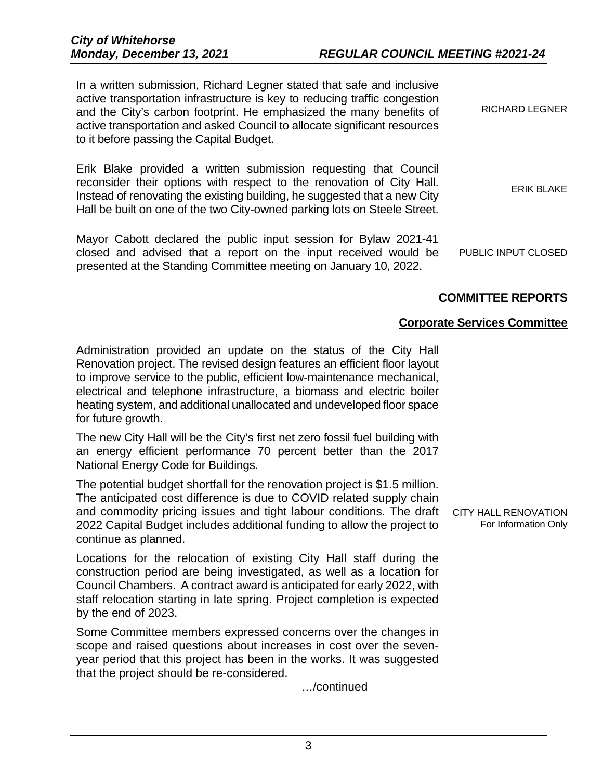| <b>RICHARD LEGNER</b> | In a written submission, Richard Legner stated that safe and inclusive<br>active transportation infrastructure is key to reducing traffic congestion<br>and the City's carbon footprint. He emphasized the many benefits of<br>active transportation and asked Council to allocate significant resources<br>to it before passing the Capital Budget. |
|-----------------------|------------------------------------------------------------------------------------------------------------------------------------------------------------------------------------------------------------------------------------------------------------------------------------------------------------------------------------------------------|
| <b>ERIK BLAKE</b>     | Erik Blake provided a written submission requesting that Council<br>reconsider their options with respect to the renovation of City Hall.<br>Instead of renovating the existing building, he suggested that a new City<br>Hall be built on one of the two City-owned parking lots on Steele Street.                                                  |
| PUBLIC INPUT CLOSED   | Mayor Cabott declared the public input session for Bylaw 2021-41<br>closed and advised that a report on the input received would be                                                                                                                                                                                                                  |

# **COMMITTEE REPORTS**

# **Corporate Services Committee**

Administration provided an update on the status of the City Hall Renovation project. The revised design features an efficient floor layout to improve service to the public, efficient low-maintenance mechanical, electrical and telephone infrastructure, a biomass and electric boiler heating system, and additional unallocated and undeveloped floor space for future growth.

presented at the Standing Committee meeting on January 10, 2022.

The new City Hall will be the City's first net zero fossil fuel building with an energy efficient performance 70 percent better than the 2017 National Energy Code for Buildings.

The potential budget shortfall for the renovation project is \$1.5 million. The anticipated cost difference is due to COVID related supply chain and commodity pricing issues and tight labour conditions. The draft 2022 Capital Budget includes additional funding to allow the project to continue as planned.

Locations for the relocation of existing City Hall staff during the construction period are being investigated, as well as a location for Council Chambers. A contract award is anticipated for early 2022, with staff relocation starting in late spring. Project completion is expected by the end of 2023.

Some Committee members expressed concerns over the changes in scope and raised questions about increases in cost over the sevenyear period that this project has been in the works. It was suggested that the project should be re-considered.

…/continued

CITY HALL RENOVATION For Information Only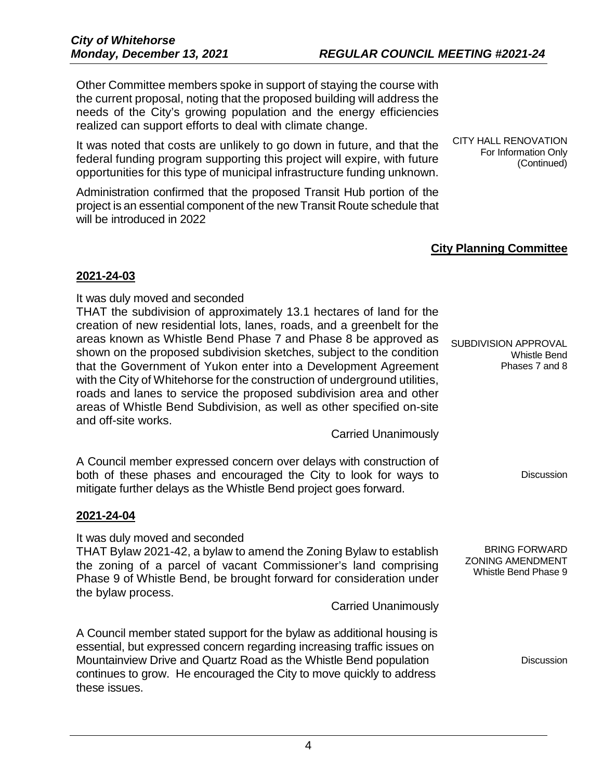Other Committee members spoke in support of staying the course with the current proposal, noting that the proposed building will address the needs of the City's growing population and the energy efficiencies realized can support efforts to deal with climate change.

It was noted that costs are unlikely to go down in future, and that the federal funding program supporting this project will expire, with future opportunities for this type of municipal infrastructure funding unknown.

Administration confirmed that the proposed Transit Hub portion of the project is an essential component of the new Transit Route schedule that will be introduced in 2022

CITY HALL RENOVATION For Information Only (Continued)

# **City Planning Committee**

## **2021-24-03**

It was duly moved and seconded

THAT the subdivision of approximately 13.1 hectares of land for the creation of new residential lots, lanes, roads, and a greenbelt for the areas known as Whistle Bend Phase 7 and Phase 8 be approved as shown on the proposed subdivision sketches, subject to the condition that the Government of Yukon enter into a Development Agreement with the City of Whitehorse for the construction of underground utilities, roads and lanes to service the proposed subdivision area and other areas of Whistle Bend Subdivision, as well as other specified on-site and off-site works.

Carried Unanimously

A Council member expressed concern over delays with construction of both of these phases and encouraged the City to look for ways to mitigate further delays as the Whistle Bend project goes forward.

## **2021-24-04**

It was duly moved and seconded THAT Bylaw 2021-42, a bylaw to amend the Zoning Bylaw to establish the zoning of a parcel of vacant Commissioner's land comprising Phase 9 of Whistle Bend, be brought forward for consideration under the bylaw process.

Carried Unanimously

A Council member stated support for the bylaw as additional housing is essential, but expressed concern regarding increasing traffic issues on Mountainview Drive and Quartz Road as the Whistle Bend population continues to grow. He encouraged the City to move quickly to address these issues.

SUBDIVISION APPROVAL Whistle Bend Phases 7 and 8

**Discussion** 

BRING FORWARD ZONING AMENDMENT Whistle Bend Phase 9

**Discussion**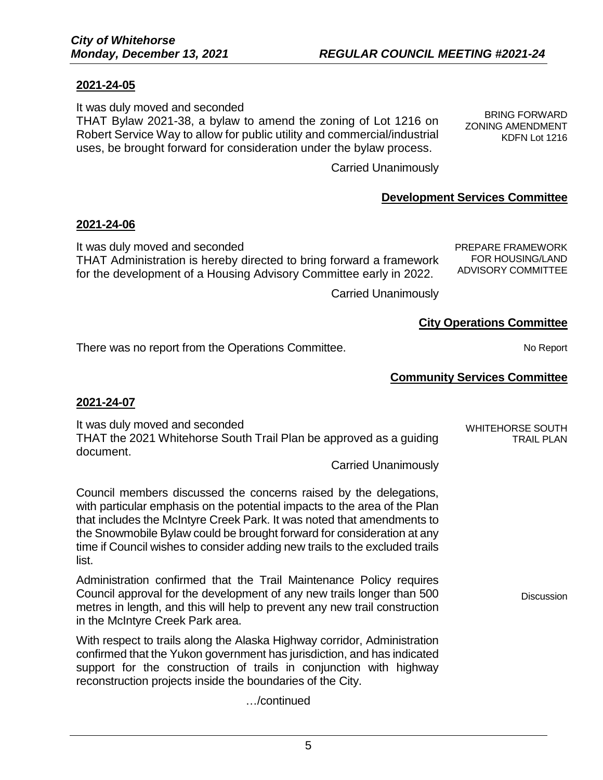### **2021-24-05**

It was duly moved and seconded

THAT Bylaw 2021-38, a bylaw to amend the zoning of Lot 1216 on Robert Service Way to allow for public utility and commercial/industrial uses, be brought forward for consideration under the bylaw process.

BRING FORWARD ZONING AMENDMENT KDFN Lot 1216

Carried Unanimously

## **Development Services Committee**

#### **2021-24-06**

It was duly moved and seconded THAT Administration is hereby directed to bring forward a framework for the development of a Housing Advisory Committee early in 2022.

PREPARE FRAMEWORK FOR HOUSING/LAND ADVISORY COMMITTEE

Carried Unanimously

## **City Operations Committee**

There was no report from the Operations Committee. The notation of the No Report

# **Community Services Committee**

### **2021-24-07**

It was duly moved and seconded THAT the 2021 Whitehorse South Trail Plan be approved as a guiding document. WHITEHORSE SOUTH TRAIL PLAN

Carried Unanimously

Council members discussed the concerns raised by the delegations, with particular emphasis on the potential impacts to the area of the Plan that includes the McIntyre Creek Park. It was noted that amendments to the Snowmobile Bylaw could be brought forward for consideration at any time if Council wishes to consider adding new trails to the excluded trails list.

Administration confirmed that the Trail Maintenance Policy requires Council approval for the development of any new trails longer than 500 metres in length, and this will help to prevent any new trail construction in the McIntyre Creek Park area.

With respect to trails along the Alaska Highway corridor, Administration confirmed that the Yukon government has jurisdiction, and has indicated support for the construction of trails in conjunction with highway reconstruction projects inside the boundaries of the City.

…/continued

**Discussion**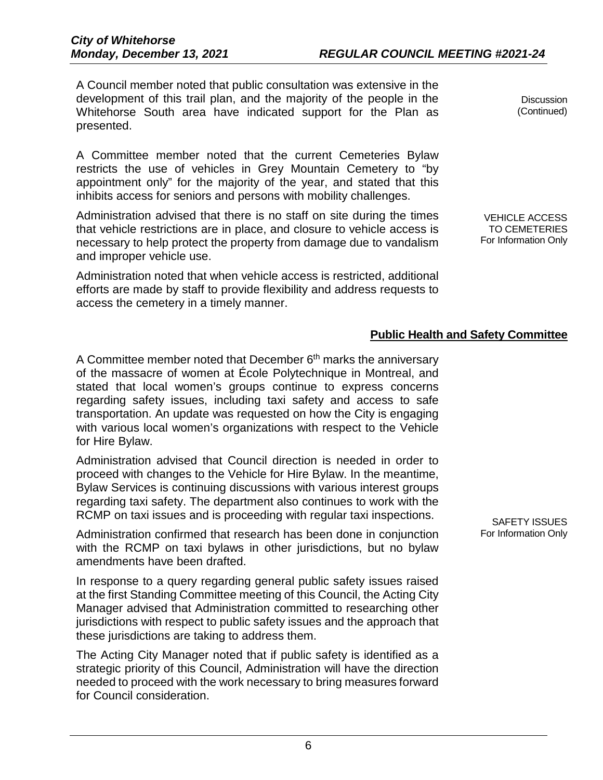A Council member noted that public consultation was extensive in the development of this trail plan, and the majority of the people in the Whitehorse South area have indicated support for the Plan as presented.

A Committee member noted that the current Cemeteries Bylaw restricts the use of vehicles in Grey Mountain Cemetery to "by appointment only" for the majority of the year, and stated that this inhibits access for seniors and persons with mobility challenges.

Administration advised that there is no staff on site during the times that vehicle restrictions are in place, and closure to vehicle access is necessary to help protect the property from damage due to vandalism and improper vehicle use.

Administration noted that when vehicle access is restricted, additional efforts are made by staff to provide flexibility and address requests to access the cemetery in a timely manner.

**Discussion** (Continued)

VEHICLE ACCESS TO CEMETERIES For Information Only

# **Public Health and Safety Committee**

A Committee member noted that December 6<sup>th</sup> marks the anniversary of the massacre of women at École Polytechnique in Montreal, and stated that local women's groups continue to express concerns regarding safety issues, including taxi safety and access to safe transportation. An update was requested on how the City is engaging with various local women's organizations with respect to the Vehicle for Hire Bylaw.

Administration advised that Council direction is needed in order to proceed with changes to the Vehicle for Hire Bylaw. In the meantime, Bylaw Services is continuing discussions with various interest groups regarding taxi safety. The department also continues to work with the RCMP on taxi issues and is proceeding with regular taxi inspections.

Administration confirmed that research has been done in conjunction with the RCMP on taxi bylaws in other jurisdictions, but no bylaw amendments have been drafted.

In response to a query regarding general public safety issues raised at the first Standing Committee meeting of this Council, the Acting City Manager advised that Administration committed to researching other jurisdictions with respect to public safety issues and the approach that these jurisdictions are taking to address them.

The Acting City Manager noted that if public safety is identified as a strategic priority of this Council, Administration will have the direction needed to proceed with the work necessary to bring measures forward for Council consideration.

SAFETY ISSUES For Information Only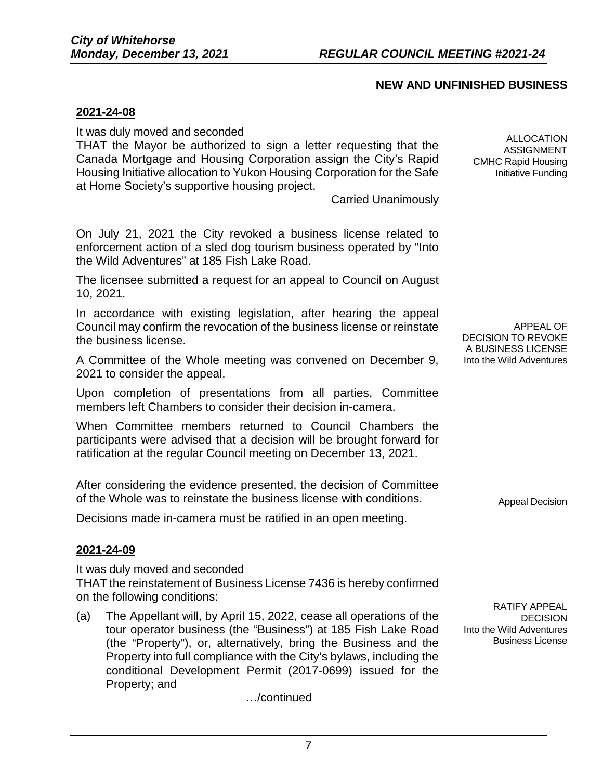## **NEW AND UNFINISHED BUSINESS**

### **2021-24-08**

It was duly moved and seconded

THAT the Mayor be authorized to sign a letter requesting that the Canada Mortgage and Housing Corporation assign the City's Rapid Housing Initiative allocation to Yukon Housing Corporation for the Safe at Home Society's supportive housing project.

Carried Unanimously

On July 21, 2021 the City revoked a business license related to enforcement action of a sled dog tourism business operated by "Into the Wild Adventures" at 185 Fish Lake Road.

The licensee submitted a request for an appeal to Council on August 10, 2021.

In accordance with existing legislation, after hearing the appeal Council may confirm the revocation of the business license or reinstate the business license.

A Committee of the Whole meeting was convened on December 9, 2021 to consider the appeal.

Upon completion of presentations from all parties, Committee members left Chambers to consider their decision in-camera.

When Committee members returned to Council Chambers the participants were advised that a decision will be brought forward for ratification at the regular Council meeting on December 13, 2021.

After considering the evidence presented, the decision of Committee of the Whole was to reinstate the business license with conditions.

Decisions made in-camera must be ratified in an open meeting.

### **2021-24-09**

It was duly moved and seconded

THAT the reinstatement of Business License 7436 is hereby confirmed on the following conditions:

(a) The Appellant will, by April 15, 2022, cease all operations of the tour operator business (the "Business") at 185 Fish Lake Road (the "Property"), or, alternatively, bring the Business and the Property into full compliance with the City's bylaws, including the conditional Development Permit (2017-0699) issued for the Property; and

…/continued

ALLOCATION ASSIGNMENT CMHC Rapid Housing Initiative Funding

APPEAL OF DECISION TO REVOKE A BUSINESS LICENSE Into the Wild Adventures

Appeal Decision

RATIFY APPEAL DECISION Into the Wild Adventures Business License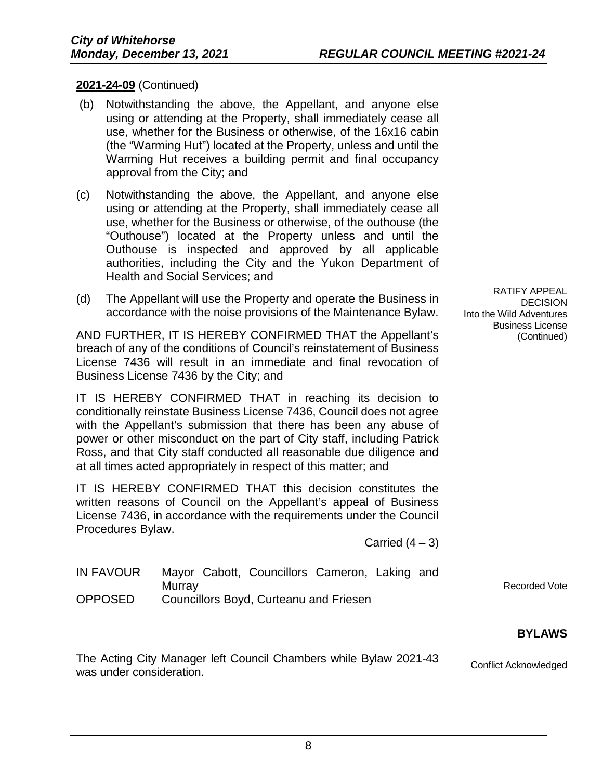## **2021-24-09** (Continued)

- (b) Notwithstanding the above, the Appellant, and anyone else using or attending at the Property, shall immediately cease all use, whether for the Business or otherwise, of the 16x16 cabin (the "Warming Hut") located at the Property, unless and until the Warming Hut receives a building permit and final occupancy approval from the City; and
- (c) Notwithstanding the above, the Appellant, and anyone else using or attending at the Property, shall immediately cease all use, whether for the Business or otherwise, of the outhouse (the "Outhouse") located at the Property unless and until the Outhouse is inspected and approved by all applicable authorities, including the City and the Yukon Department of Health and Social Services; and
- (d) The Appellant will use the Property and operate the Business in accordance with the noise provisions of the Maintenance Bylaw.

AND FURTHER, IT IS HEREBY CONFIRMED THAT the Appellant's breach of any of the conditions of Council's reinstatement of Business License 7436 will result in an immediate and final revocation of Business License 7436 by the City; and

IT IS HEREBY CONFIRMED THAT in reaching its decision to conditionally reinstate Business License 7436, Council does not agree with the Appellant's submission that there has been any abuse of power or other misconduct on the part of City staff, including Patrick Ross, and that City staff conducted all reasonable due diligence and at all times acted appropriately in respect of this matter; and

IT IS HEREBY CONFIRMED THAT this decision constitutes the written reasons of Council on the Appellant's appeal of Business License 7436, in accordance with the requirements under the Council Procedures Bylaw.

Carried  $(4-3)$ 

| IN FAVOUR      | Mayor Cabott, Councillors Cameron, Laking and |
|----------------|-----------------------------------------------|
|                | Murray                                        |
| <b>OPPOSED</b> | Councillors Boyd, Curteanu and Friesen        |

# **BYLAWS**

Recorded Vote

The Acting City Manager left Council Chambers while Bylaw 2021-43 The Acting Oily Manager left Council Chambers while Dylaw 2021-40<br>was under consideration.

RATIFY APPEAL DECISION Into the Wild Adventures Business License (Continued)